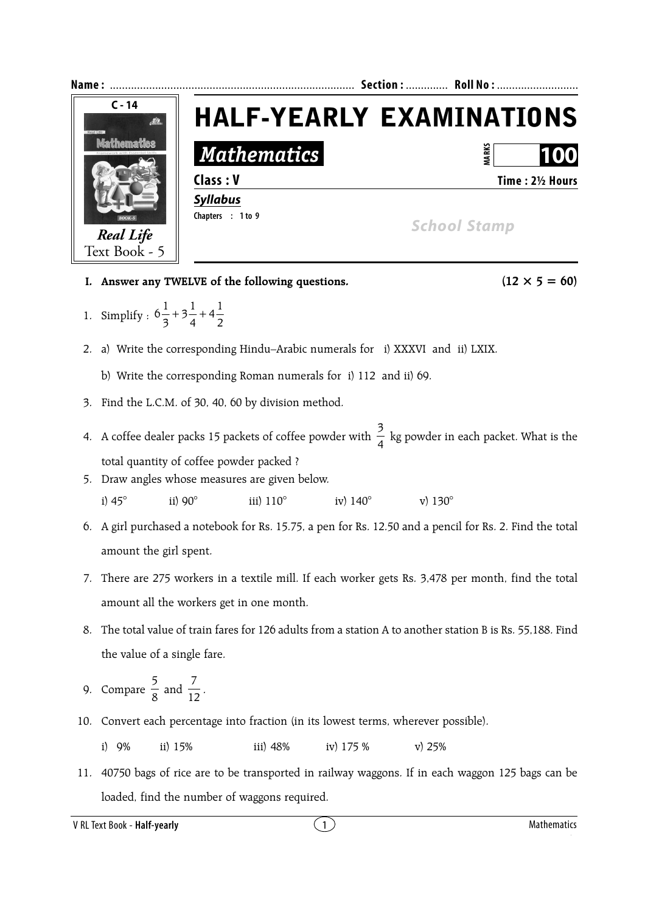

- **I.** Answer any TWELVE of the following questions.  $(12 \times 5 = 60)$
- 1. Simplify :  $6 3 3 4 2$  $4\frac{1}{2}$ 4  $3\frac{1}{7}$ 3  $6\frac{1}{2} + 3\frac{1}{2} +$
- 2. a) Write the corresponding Hindu–Arabic numerals for i) XXXVI and ii) LXIX.

b) Write the corresponding Roman numerals for i) 112 and ii) 69.

- 3. Find the L.C.M. of 30, 40, 60 by division method.
- 4. A coffee dealer packs 15 packets of coffee powder with  $\frac{3}{4}$  kg powder in each packet. What is the total quantity of coffee powder packed ?
- 5. Draw angles whose measures are given below. i)  $45^\circ$  ii)  $90^\circ$  iii)  $110^\circ$  iv)  $140^\circ$  v)  $130^\circ$
- 6. A girl purchased a notebook for Rs. 15.75, a pen for Rs. 12.50 and a pencil for Rs. 2. Find the total amount the girl spent.
- 7. There are 275 workers in a textile mill. If each worker gets Rs. 3,478 per month, find the total amount all the workers get in one month.
- 8. The total value of train fares for 126 adults from a station A to another station B is Rs. 55,188. Find the value of a single fare.
- 9. Compare  $\frac{5}{8}$  and  $\frac{7}{12}$ .
- 10. Convert each percentage into fraction (in its lowest terms, wherever possible).
	- i) 9% ii) 15% iii) 48% iv) 175 % v) 25%
- 11. 40750 bags of rice are to be transported in railway waggons. If in each waggon 125 bags can be loaded, find the number of waggons required.

V RL Text Book - **Half-yearly** 2 Mathematics 2 Mathematics 2 Mathematics 3 Mathematics 3 Mathematics 3 Mathematics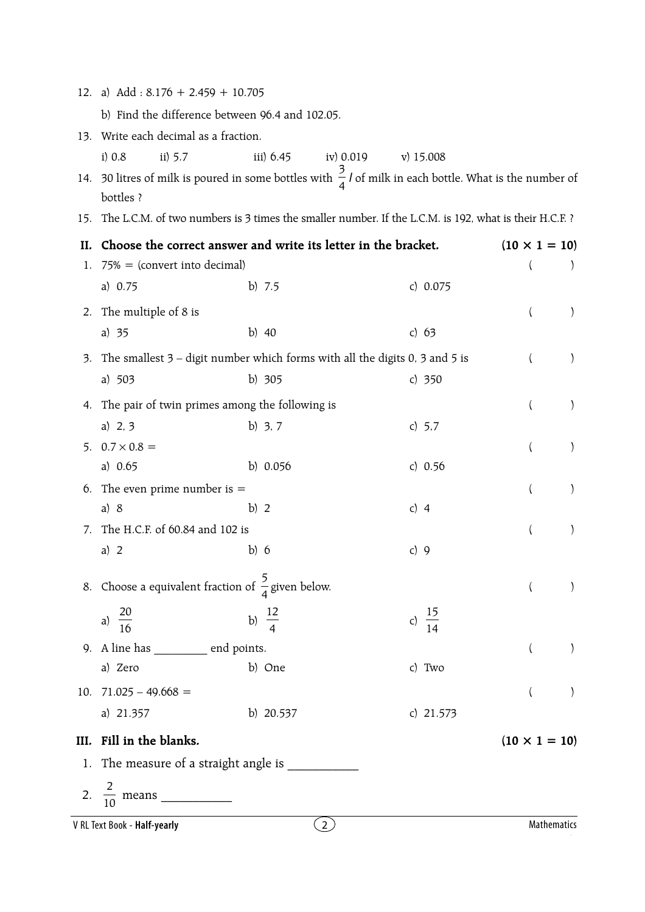|                                                                  | 12. a) Add : $8.176 + 2.459 + 10.705$                                                                                      |                   |           |                    |  |                      |  |  |
|------------------------------------------------------------------|----------------------------------------------------------------------------------------------------------------------------|-------------------|-----------|--------------------|--|----------------------|--|--|
|                                                                  | b) Find the difference between 96.4 and 102.05.                                                                            |                   |           |                    |  |                      |  |  |
| 13.                                                              | Write each decimal as a fraction.                                                                                          |                   |           |                    |  |                      |  |  |
|                                                                  | $i)$ 0.8<br>ii) $5.7$                                                                                                      | iii) $6.45$       | iv) 0.019 | $v)$ 15.008        |  |                      |  |  |
| 14.                                                              | 30 litres of milk is poured in some bottles with $\frac{3}{4}$ /of milk in each bottle. What is the number of<br>bottles ? |                   |           |                    |  |                      |  |  |
| 15.                                                              | The L.C.M. of two numbers is 3 times the smaller number. If the L.C.M. is 192, what is their H.C.F.?                       |                   |           |                    |  |                      |  |  |
|                                                                  | Choose the correct answer and write its letter in the bracket.<br>$(10 \times 1 = 10)$                                     |                   |           |                    |  |                      |  |  |
| П.<br>1.                                                         | $75\% = (convert into decimal)$                                                                                            |                   |           |                    |  |                      |  |  |
|                                                                  | a) $0.75$                                                                                                                  | b) $7.5$          |           | c) $0.075$         |  |                      |  |  |
|                                                                  |                                                                                                                            |                   |           |                    |  |                      |  |  |
| 2.                                                               | The multiple of 8 is                                                                                                       |                   |           |                    |  |                      |  |  |
|                                                                  | a) $35$                                                                                                                    | b) $40$           |           | c) $63$            |  |                      |  |  |
| 3.                                                               | The smallest $3$ – digit number which forms with all the digits 0, 3 and 5 is                                              |                   |           |                    |  |                      |  |  |
|                                                                  | a) $503$                                                                                                                   | b) $305$          |           | c) $350$           |  |                      |  |  |
| 4.                                                               | The pair of twin primes among the following is                                                                             |                   |           |                    |  |                      |  |  |
|                                                                  | a) $2, 3$                                                                                                                  | b) $3, 7$         |           | c) $5.7$           |  |                      |  |  |
| 5.                                                               | $0.7 \times 0.8 =$                                                                                                         |                   |           |                    |  |                      |  |  |
|                                                                  | a) $0.65$                                                                                                                  | b) $0.056$        |           | c) $0.56$          |  |                      |  |  |
| 6.                                                               | The even prime number is $=$                                                                                               |                   |           |                    |  |                      |  |  |
|                                                                  | a) 8                                                                                                                       | b) $2$            |           | c) $4$             |  |                      |  |  |
| 7.                                                               | The H.C.F. of 60.84 and 102 is                                                                                             |                   |           |                    |  |                      |  |  |
|                                                                  | a) $2$                                                                                                                     | b) $6$            |           | c) $9$             |  |                      |  |  |
|                                                                  | 8. Choose a equivalent fraction of $\frac{5}{4}$ given below.                                                              |                   |           |                    |  |                      |  |  |
|                                                                  | a) $\frac{20}{16}$                                                                                                         | b) $\frac{12}{4}$ |           | c) $\frac{15}{14}$ |  |                      |  |  |
|                                                                  |                                                                                                                            |                   |           |                    |  |                      |  |  |
|                                                                  | 9. A line has ___________ end points.                                                                                      |                   |           |                    |  |                      |  |  |
|                                                                  | a) Zero                                                                                                                    | b) One            |           | c) Two             |  |                      |  |  |
| 10.                                                              | $71.025 - 49.668 =$                                                                                                        |                   |           |                    |  |                      |  |  |
|                                                                  | a) 21.357                                                                                                                  | b) $20.537$       |           | c) $21.573$        |  |                      |  |  |
| III.                                                             | Fill in the blanks.                                                                                                        |                   |           |                    |  | $(10 \times 1 = 10)$ |  |  |
| 1.                                                               | The measure of a straight angle is _______                                                                                 |                   |           |                    |  |                      |  |  |
|                                                                  |                                                                                                                            |                   |           |                    |  |                      |  |  |
| Mathematics<br>$\left( 2\right)$<br>V RL Text Book - Half-yearly |                                                                                                                            |                   |           |                    |  |                      |  |  |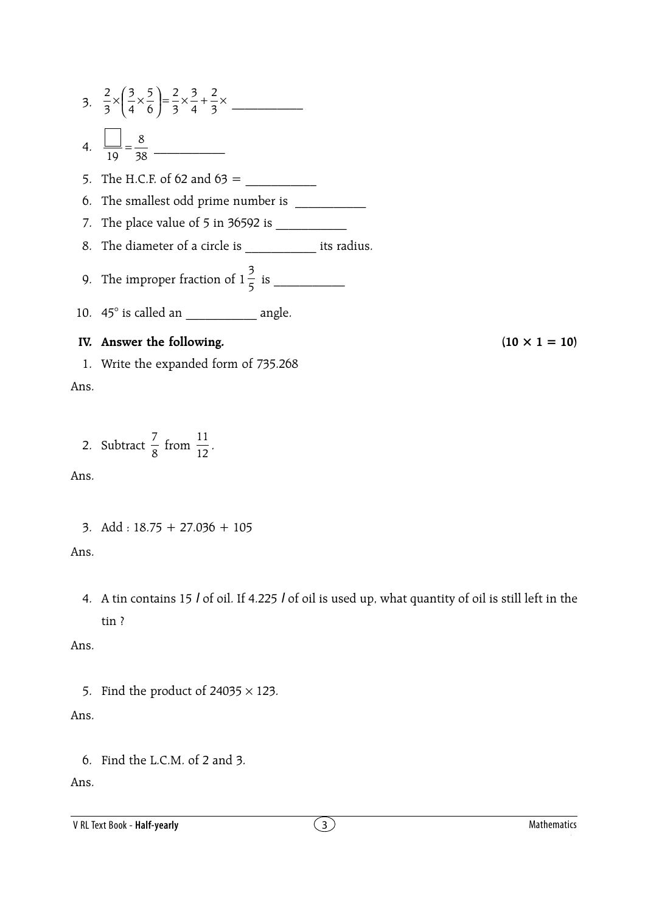3.  $\frac{2}{3} \times \left(\frac{3}{4} \times \frac{5}{6}\right) = \frac{2}{3} \times \frac{3}{4} + \frac{2}{3} \times$ l  $\times$  $\left(\frac{3}{2}\times\right)$ 3 2 4 3 3 2 6 5 4 3  $\frac{2}{3} \times \left(\frac{3}{4} \times \frac{5}{6}\right) = \frac{2}{3} \times \frac{3}{4} + \frac{2}{3} \times$ 4. 38  $\frac{1}{19} = \frac{8}{38}$ 5. The H.C.F. of  $62$  and  $63 =$ 6. The smallest odd prime number is \_\_\_\_\_\_\_\_\_\_\_ 7. The place value of 5 in 36592 is \_\_\_\_\_\_\_\_\_\_\_ 8. The diameter of a circle is \_\_\_\_\_\_\_\_\_\_\_\_\_ its radius. 9. The improper fraction of  $1\frac{2}{5}$ 3  $is$   $\qquad \qquad$ 10. 45° is called an angle. IV. Answer the following.  $(10 \times 1 = 10)$ 1. Write the expanded form of 735.268 Ans. 2. Subtract  $\frac{7}{8}$  from  $\frac{11}{12}$ . Ans.

3. Add :  $18.75 + 27.036 + 105$ 

Ans.

4. A tin contains 15 *l* of oil. If 4.225 *l* of oil is used up, what quantity of oil is still left in the tin ?

Ans.

5. Find the product of  $24035 \times 123$ .

Ans.

6. Find the L.C.M. of 2 and 3.

Ans.